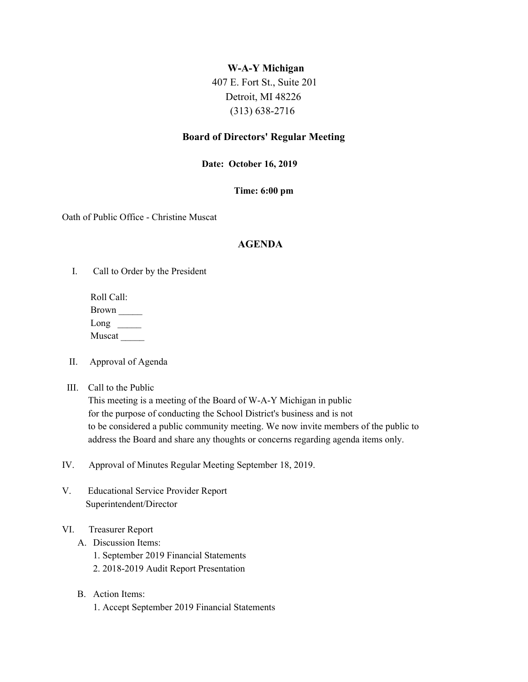# **W-A-Y Michigan**

 407 E. Fort St., Suite 201 Detroit, MI 48226 (313) 638-2716

# **Board of Directors' Regular Meeting**

# **Date: October 16, 2019**

### **Time: 6:00 pm**

Oath of Public Office - Christine Muscat

# **AGENDA**

I. Call to Order by the President

Roll Call: Brown \_\_\_\_\_  $Long \_$ Muscat

- II. Approval of Agenda
- III. Call to the Public

This meeting is a meeting of the Board of W-A-Y Michigan in public for the purpose of conducting the School District's business and is not to be considered a public community meeting. We now invite members of the public to address the Board and share any thoughts or concerns regarding agenda items only.

- IV. Approval of Minutes Regular Meeting September 18, 2019.
- V. Educational Service Provider Report Superintendent/Director
- VI. Treasurer Report
	- A. Discussion Items:
		- 1. September 2019 Financial Statements
		- 2. 2018-2019 Audit Report Presentation
	- B. Action Items: 1. Accept September 2019 Financial Statements